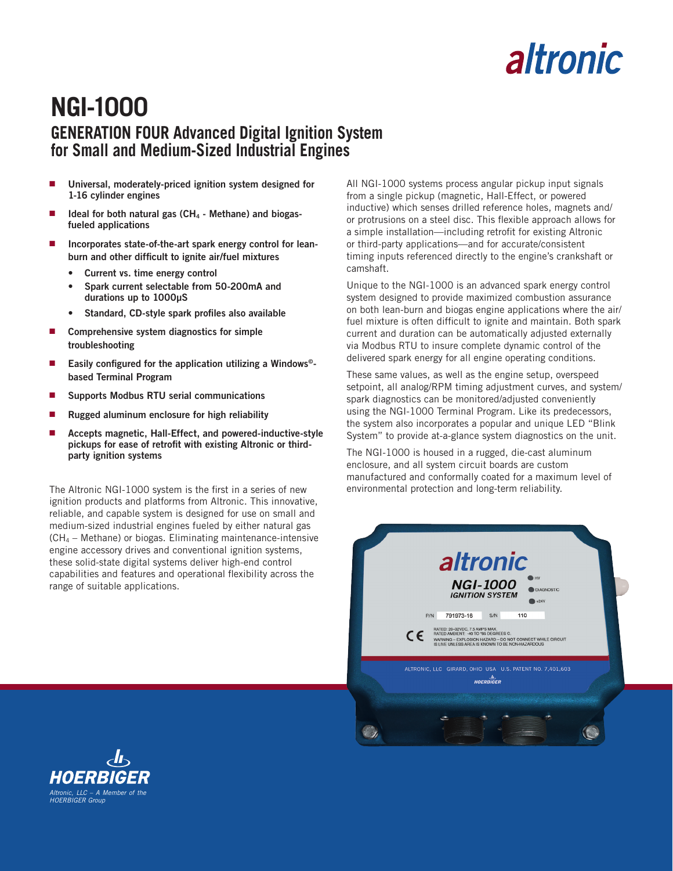# altronic

## **NGI-1000 GENERATION FOUR Advanced Digital Ignition System for Small and Medium-Sized Industrial Engines**

- n **Universal, moderately-priced ignition system designed for 1-16 cylinder engines**
- Ideal for both natural gas (CH<sub>4</sub> Methane) and biogas**fueled applications**
- Incorporates state-of-the-art spark energy control for lean**burn and other difficult to ignite air/fuel mixtures**
	- **• Current vs. time energy control**
	- **• Spark current selectable from 50-200mA and durations up to 1000µS**
	- **• Standard, CD-style spark profiles also available**
- Comprehensive system diagnostics for simple **troubleshooting**
- Easily configured for the application utilizing a Windows<sup>®</sup>**based Terminal Program**
- n **Supports Modbus RTU serial communications**
- Rugged aluminum enclosure for high reliability
- n **Accepts magnetic, Hall-Effect, and powered-inductive-style pickups for ease of retrofit with existing Altronic or thirdparty ignition systems**

The Altronic NGI-1000 system is the first in a series of new ignition products and platforms from Altronic. This innovative, reliable, and capable system is designed for use on small and medium-sized industrial engines fueled by either natural gas (CH4 – Methane) or biogas. Eliminating maintenance-intensive engine accessory drives and conventional ignition systems, these solid-state digital systems deliver high-end control capabilities and features and operational flexibility across the range of suitable applications.

All NGI-1000 systems process angular pickup input signals from a single pickup (magnetic, Hall-Effect, or powered inductive) which senses drilled reference holes, magnets and/ or protrusions on a steel disc. This flexible approach allows for a simple installation—including retrofit for existing Altronic or third-party applications—and for accurate/consistent timing inputs referenced directly to the engine's crankshaft or camshaft.

Unique to the NGI-1000 is an advanced spark energy control system designed to provide maximized combustion assurance on both lean-burn and biogas engine applications where the air/ fuel mixture is often difficult to ignite and maintain. Both spark current and duration can be automatically adjusted externally via Modbus RTU to insure complete dynamic control of the delivered spark energy for all engine operating conditions.

These same values, as well as the engine setup, overspeed setpoint, all analog/RPM timing adjustment curves, and system/ spark diagnostics can be monitored/adjusted conveniently using the NGI-1000 Terminal Program. Like its predecessors, the system also incorporates a popular and unique LED "Blink System" to provide at-a-glance system diagnostics on the unit.

The NGI-1000 is housed in a rugged, die-cast aluminum enclosure, and all system circuit boards are custom manufactured and conformally coated for a maximum level of environmental protection and long-term reliability.